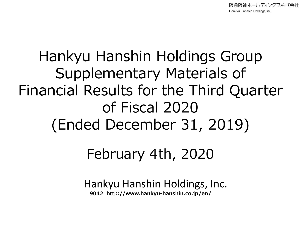阪急阪神ホールディングス株式会社 Hankyu Hanshin Holdings, Inc.

# Hankyu Hanshin Holdings Group Supplementary Materials of Financial Results for the Third Quarter of Fiscal 2020 (Ended December 31, 2019)

## February 4th, 2020

Hankyu Hanshin Holdings, Inc. **9042 http://www.hankyu-hanshin.co.jp/en/**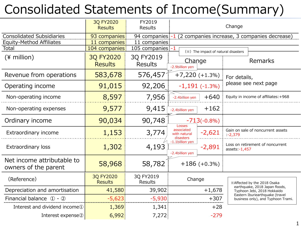## Consolidated Statements of Income(Summary)

|                                                                     | 3Q FY2020<br><b>Results</b>        | FY2019<br>Results           | Change                                  |                                                              |                |                                                                       |
|---------------------------------------------------------------------|------------------------------------|-----------------------------|-----------------------------------------|--------------------------------------------------------------|----------------|-----------------------------------------------------------------------|
| <b>Consolidated Subsidiaries</b><br><b>Equity-Method Affiliates</b> | 93 companies<br>11 companies       | 11 companies                |                                         | 94 companies -1 (2 companies increase, 3 companies decrease) |                |                                                                       |
| Total                                                               | 104 companies:                     | 105 companies -1            |                                         | (※) The impact of natural disasters                          |                |                                                                       |
| $(*)$ million)                                                      | <b>3Q FY2020</b><br><b>Results</b> | 3Q FY2019<br><b>Results</b> | Change<br>-2.9billion yen               |                                                              |                | Remarks                                                               |
| Revenue from operations                                             | 583,678                            | 576,457                     | $+7,220 (+1.3%)$                        |                                                              | For details,   |                                                                       |
| Operating income                                                    | 91,015                             | 92,206                      |                                         | $-1,191(-1.3%)$                                              |                | please see next page                                                  |
| Non-operating income                                                | 8,597                              | 7,956                       | -2.4billion yen                         | $+640$                                                       |                | Equity in income of affiliates: +968                                  |
| Non-operating expenses                                              | 9,577                              | 9,415                       | -2.4billion yen                         | $+162$                                                       |                |                                                                       |
| Ordinary income                                                     | 90,034                             | 90,748                      | Losses                                  | $-713(-0.8%)$                                                |                |                                                                       |
| Extraordinary income                                                | 1,153                              | 3,774                       | associated<br>with natural<br>disasters | $-2,621$                                                     | $-2,379$       | Gain on sale of noncurrent assets                                     |
| Extraordinary loss                                                  | 1,302                              | 4,193                       | -1.1billion yen<br>-2.4billion yen      | $-2,891$                                                     | assets: -1,457 | Loss on retirement of noncurrent                                      |
| Net income attributable to<br>owners of the parent                  | 58,968                             | 58,782                      |                                         | $+186 (+0.3\%)$                                              |                |                                                                       |
| (Reference)                                                         | 3Q FY2020<br><b>Results</b>        | 3Q FY2019<br><b>Results</b> | Change                                  |                                                              |                | *Affected by the 2018 Osaka                                           |
| Depreciation and amortisation                                       | 41,580                             | 39,902                      | $+1,678$                                |                                                              |                | earthquake, 2018 Japan floods,<br>Typhoon Jebi, 2018 Hokkaido         |
| Financial balance $(1) - (2)$                                       | $-5,623$                           | $-5,930$                    | $+307$                                  |                                                              |                | Eastern Iburiearthquake (travel<br>business only), and Typhoon Trami. |
| Interest and dividend income <sup>1</sup>                           | 1,369                              | 1,341                       |                                         | $+28$                                                        |                |                                                                       |
| Interest expense2                                                   | 6,992                              | 7,272                       |                                         | $-279$                                                       |                |                                                                       |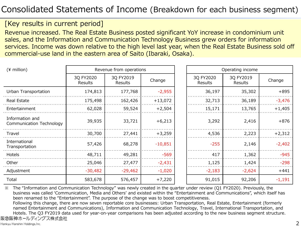#### [Key results in current period]

Revenue increased. The Real Estate Business posted significant YoY increase in condominium unit sales, and the Information and Communication Technology Business grew orders for information services. Income was down relative to the high level last year, when the Real Estate Business sold off commercial-use land in the eastern area of Saito (Ibaraki, Osaka).

| $(*)$ million)                              | Revenue from operations     |                      |           |  | Operating income     |                             |          |  |
|---------------------------------------------|-----------------------------|----------------------|-----------|--|----------------------|-----------------------------|----------|--|
|                                             | 3Q FY2020<br><b>Results</b> | 3Q FY2019<br>Results | Change    |  | 3Q FY2020<br>Results | 3Q FY2019<br><b>Results</b> | Change   |  |
| Urban Transportation                        | 174,813                     | 177,768              | $-2,955$  |  | 36,197               | 35,302                      | $+895$   |  |
| Real Estate                                 | 175,498                     | 162,426              | $+13,072$ |  | 32,713               | 36,189                      | $-3,476$ |  |
| Entertainment                               | 62,028                      | 59,524               | $+2,504$  |  | 15,171               | 13,765                      | $+1,405$ |  |
| Information and<br>Communication Technology | 39,935                      | 33,721               | $+6,213$  |  | 3,292                | 2,416                       | $+876$   |  |
| Travel                                      | 30,700                      | 27,441               | $+3,259$  |  | 4,536                | 2,223                       | $+2,312$ |  |
| International<br>Transportation             | 57,426                      | 68,278               | $-10,851$ |  | $-255$               | 2,146                       | $-2,402$ |  |
| Hotels                                      | 48,711                      | 49,281               | $-569$    |  | 417                  | 1,362                       | $-945$   |  |
| Other                                       | 25,046                      | 27,477               | $-2,431$  |  | 1,125                | 1,424                       | $-298$   |  |
| Adjustment                                  | $-30,482$                   | $-29,462$            | $-1,020$  |  | $-2,183$             | $-2,624$                    | $+441$   |  |
| Total                                       | 583,678                     | 576,457              | $+7,220$  |  | 91,015               | 92,206                      | $-1,191$ |  |

※ The "Information and Communication Technology" was newly created in the quarter under review (Q1 FY2020). Previously, the business was called 'Communication, Media and Others' and existed within the "Entertainment and Communications", which itself has been renamed to the "Entertainment". The purpose of the change was to boost competitiveness.

Following this change, there are now seven reportable core businesses: Urban Transportation, Real Estate, Entertainment (formerly named Entertainment and Communications), Information and Communication Technology, Travel, International Transportation, and Hotels. The Q3 FY2019 data used for year-on-year comparisons has been adjusted according to the new business segment structure. 阪急阪神ホールディングス株式会社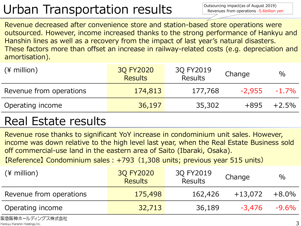## Urban Transportation results

Outsourcing impact(as of August 2019) Revenues from operations -5.6billion yen

Revenue decreased after convenience store and station-based store operations were outsourced. However, income increased thanks to the strong performance of Hankyu and Hanshin lines as well as a recovery from the impact of last year's natural disasters. These factors more than offset an increase in railway-related costs (e.g. depreciation and amortisation).

| $(*)$ million)          | 3Q FY2020<br><b>Results</b> | 3Q FY2019<br><b>Results</b> | Change   | $\%$     |
|-------------------------|-----------------------------|-----------------------------|----------|----------|
| Revenue from operations | 174,813                     | 177,768                     | $-2.955$ | $-1.7\%$ |
| Operating income        | 36,197                      | 35,302                      | $+895$   | $+2.5\%$ |

### Real Estate results

Revenue rose thanks to significant YoY increase in condominium unit sales. However, income was down relative to the high level last year, when the Real Estate Business sold off commercial-use land in the eastern area of Saito (Ibaraki, Osaka).

【Reference】 Condominium sales:+793(1,308 units; previous year 515 units)

| $(*)$ million)          | 3Q FY2020<br><b>Results</b> | 3Q FY2019<br><b>Results</b> | Change    | $\%$     |
|-------------------------|-----------------------------|-----------------------------|-----------|----------|
| Revenue from operations | 175,498                     | 162,426                     | $+13,072$ | $+8.0\%$ |
| Operating income        | 32,713                      | 36,189                      | $-3.476$  | $-9.6\%$ |

阪急阪神ホールディングス株式会社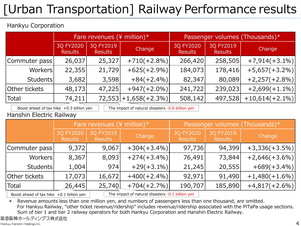# [Urban Transportation] Railway Performance results

#### Hankyu Corporation

|                 | Fare revenues ( $\frac{4}{3}$ million)* |                             |                         | Passenger volumes (Thousands)* |                             |                   |  |
|-----------------|-----------------------------------------|-----------------------------|-------------------------|--------------------------------|-----------------------------|-------------------|--|
|                 | 3Q FY2020<br><b>Results</b>             | 3Q FY2019<br><b>Results</b> | Change                  | 3Q FY2020<br><b>Results</b>    | 3Q FY2019<br><b>Results</b> | Change            |  |
| Commuter pass   | 26,037                                  | 25,327                      | $+710(+2.8\%)$          | 266,420                        | 258,505                     | $+7,914(+3.1\%)$  |  |
| Workers         | 22,355                                  | 21,729                      | $+625(+2.9\%)$          | 184,073                        | 178,416                     | $+5,657(+3.2\%)$  |  |
| <b>Students</b> | 3,682                                   | 3,598                       | $+84(+2.4\%)$           | 82,347                         | 80,089                      | $+2,257(+2.8%)$   |  |
| Other tickets   | 48,173                                  | 47,225                      | $+947(+2.0\%)$          | 241,722                        | 239,023                     | $+2,699(+1.1\%)$  |  |
| Total           | 74,211                                  |                             | $72,553$ + 1,658(+2.3%) | 508,142                        | 497,528                     | $+10,614(+2.1\%)$ |  |

Boost ahead of tax hike  $+0.3$  billion yen  $\vert$  The impact of natural disasters -0.6 billion yen

#### Hanshin Electric Railway

|                                                                                                |                             | Fare revenues ( $\frac{4}{3}$ million)* |                |                             | Passenger volumes (Thousands)* |                  |  |  |
|------------------------------------------------------------------------------------------------|-----------------------------|-----------------------------------------|----------------|-----------------------------|--------------------------------|------------------|--|--|
|                                                                                                | 3Q FY2020<br><b>Results</b> | 3Q FY2019<br><b>Results</b>             | Change         | 3Q FY2020<br><b>Results</b> | 3Q FY2019<br><b>Results</b>    | Change           |  |  |
| Commuter pass                                                                                  | 9,372                       | 9,067                                   | $+304(+3.4\%)$ | 97,736                      | 94,399                         | $+3,336(+3.5\%)$ |  |  |
| Workers                                                                                        | 8,367                       | 8,093                                   | $+274(+3.4\%)$ | 76,491                      | 73,844                         | $+2,646(+3.6%)$  |  |  |
| <b>Students</b>                                                                                | 1,004                       | 974                                     | $+29(+3.1\%)$  | 21,245                      | 20,555                         | $+689(+3.4\%)$   |  |  |
| Other tickets                                                                                  | 17,073                      | 16,672                                  | $+400(+2.4\%)$ | 92,971                      | 91,490                         | $+1,480(+1.6%)$  |  |  |
| <b>Total</b>                                                                                   | 26,445                      | 25,740                                  | $+704(+2.7%)$  | 190,707                     | 185,890                        | $+4,817(+2.6%)$  |  |  |
| The impact of natural disasters -0.1 billion yen<br>Boost ahead of tax hike $+0.1$ billion yen |                             |                                         |                |                             |                                |                  |  |  |

\* Revenue amounts less than one million yen, and numbers of passengers less than one thousand, are omitted.

For Hankyu Railway, "other ticket revenue/ridership" includes revenue/ridership associated with the PiTaPa usage sections. Sum of tier 1 and tier 2 railway operators for both Hankyu Corporation and Hanshin Electric Railway.

阪急阪神ホールディングス株式会社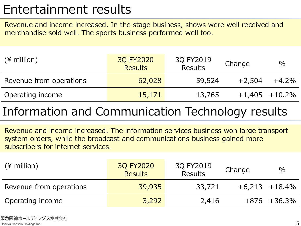### Entertainment results

Revenue and income increased. In the stage business, shows were well received and merchandise sold well. The sports business performed well too.

| $(*)$ million)          | 3Q FY2020<br><b>Results</b> | 3Q FY2019<br><b>Results</b> | Change   | $\%$               |
|-------------------------|-----------------------------|-----------------------------|----------|--------------------|
| Revenue from operations | 62,028                      | 59,524                      | $+2,504$ | +4.2%              |
| Operating income        | 15,171                      | 13,765                      |          | $+1,405$ $+10.2\%$ |

### Information and Communication Technology results

Revenue and income increased. The information services business won large transport system orders, while the broadcast and communications business gained more subscribers for internet services.

| $(*)$ million           | 3Q FY2020<br><b>Results</b> | 3Q FY2019<br><b>Results</b> | Change | $\%$               |
|-------------------------|-----------------------------|-----------------------------|--------|--------------------|
| Revenue from operations | 39,935                      | 33,721                      |        | $+6,213$ $+18.4\%$ |
| Operating income        | 3,292                       | 2,416                       |        | $+876 + 36.3\%$    |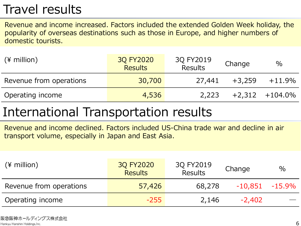### Travel results

Revenue and income increased. Factors included the extended Golden Week holiday, the popularity of overseas destinations such as those in Europe, and higher numbers of domestic tourists.

| $(*)$ million)          | 3Q FY2020<br><b>Results</b> | 3Q FY2019<br><b>Results</b> | Change   | $\%$                |
|-------------------------|-----------------------------|-----------------------------|----------|---------------------|
| Revenue from operations | 30,700                      | 27,441                      | $+3,259$ | $+11.9\%$           |
| Operating income        | 4,536                       | 2,223                       |          | $+2,312$ $+104.0\%$ |

### International Transportation results

Revenue and income declined. Factors included US-China trade war and decline in air transport volume, especially in Japan and East Asia.

| $(*)$ million)          | 3Q FY2020<br><b>Results</b> | 3Q FY2019<br><b>Results</b> | Change            | $\%$ |
|-------------------------|-----------------------------|-----------------------------|-------------------|------|
| Revenue from operations | 57,426                      | 68,278                      | $-10,851 -15.9\%$ |      |
| Operating income        | $-255$                      | 2,146                       | $-2,402$          |      |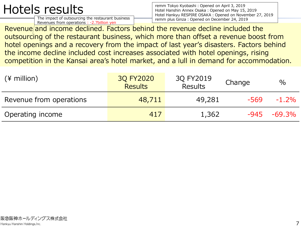## Hotels results

The impact of outsourcing the restaurant business Revenues from operations : -2.7billion yen

remm Tokyo Kyobashi: Opened on April 3, 2019 Hotel Hanshin Annex Osaka:Opened on May 15, 2019 Hotel Hankyu RESPIRE OSAKA: Opened on November 27, 2019 remm plus Ginza: Opened on December 24, 2019

Revenue/and income declined. Factors behind the revenue decline included the outsourcing of the restaurant business, which more than offset a revenue boost from hotel openings and a recovery from the impact of last year's disasters. Factors behind the income decline included cost increases associated with hotel openings, rising competition in the Kansai area's hotel market, and a lull in demand for accommodation.

| $(*)$ million)          | 3Q FY2020<br><b>Results</b> | 3Q FY2019<br><b>Results</b> | Change | $\frac{0}{0}$ |
|-------------------------|-----------------------------|-----------------------------|--------|---------------|
| Revenue from operations | 48,711                      | 49,281                      | -569   | $-1.2\%$      |
| Operating income        | 417                         | 1,362                       | -945   | $-69.3%$      |